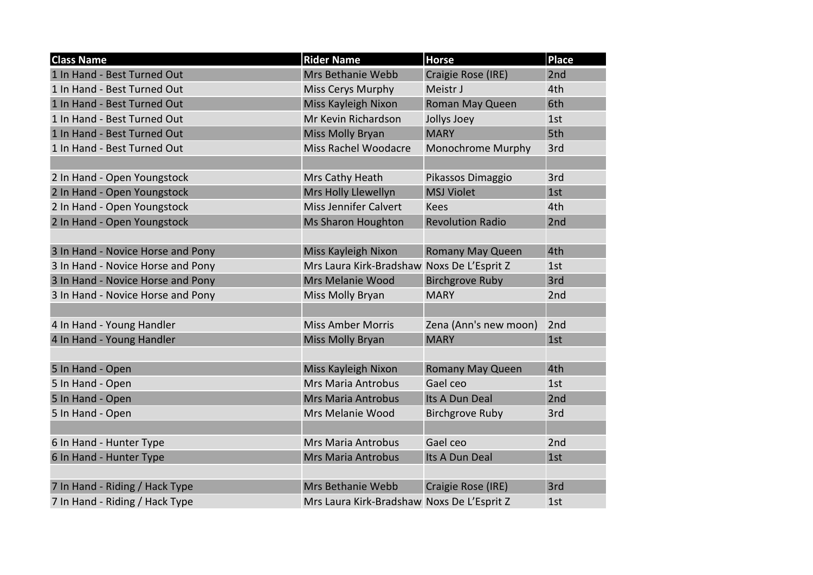| <b>Class Name</b>                 | <b>Rider Name</b>                          | <b>Horse</b>            | <b>Place</b> |
|-----------------------------------|--------------------------------------------|-------------------------|--------------|
| 1 In Hand - Best Turned Out       | Mrs Bethanie Webb                          | Craigie Rose (IRE)      | 2nd          |
| 1 In Hand - Best Turned Out       | Miss Cerys Murphy                          | Meistr J                | 4th          |
| 1 In Hand - Best Turned Out       | Miss Kayleigh Nixon                        | Roman May Queen         | 6th          |
| 1 In Hand - Best Turned Out       | Mr Kevin Richardson                        | Jollys Joey             | 1st          |
| 1 In Hand - Best Turned Out       | Miss Molly Bryan                           | <b>MARY</b>             | 5th          |
| 1 In Hand - Best Turned Out       | <b>Miss Rachel Woodacre</b>                | Monochrome Murphy       | 3rd          |
|                                   |                                            |                         |              |
| 2 In Hand - Open Youngstock       | Mrs Cathy Heath                            | Pikassos Dimaggio       | 3rd          |
| 2 In Hand - Open Youngstock       | Mrs Holly Llewellyn                        | <b>MSJ Violet</b>       | 1st          |
| 2 In Hand - Open Youngstock       | <b>Miss Jennifer Calvert</b>               | <b>Kees</b>             | 4th          |
| 2 In Hand - Open Youngstock       | Ms Sharon Houghton                         | <b>Revolution Radio</b> | 2nd          |
|                                   |                                            |                         |              |
| 3 In Hand - Novice Horse and Pony | Miss Kayleigh Nixon                        | <b>Romany May Queen</b> | 4th          |
| 3 In Hand - Novice Horse and Pony | Mrs Laura Kirk-Bradshaw Noxs De L'Esprit Z |                         | 1st          |
| 3 In Hand - Novice Horse and Pony | Mrs Melanie Wood                           | <b>Birchgrove Ruby</b>  | 3rd          |
| 3 In Hand - Novice Horse and Pony | Miss Molly Bryan                           | <b>MARY</b>             | 2nd          |
|                                   |                                            |                         |              |
| 4 In Hand - Young Handler         | <b>Miss Amber Morris</b>                   | Zena (Ann's new moon)   | 2nd          |
| 4 In Hand - Young Handler         | Miss Molly Bryan                           | <b>MARY</b>             | 1st          |
|                                   |                                            |                         |              |
| 5 In Hand - Open                  | Miss Kayleigh Nixon                        | <b>Romany May Queen</b> | 4th          |
| 5 In Hand - Open                  | <b>Mrs Maria Antrobus</b>                  | Gael ceo                | 1st          |
| 5 In Hand - Open                  | <b>Mrs Maria Antrobus</b>                  | Its A Dun Deal          | 2nd          |
| 5 In Hand - Open                  | Mrs Melanie Wood                           | <b>Birchgrove Ruby</b>  | 3rd          |
|                                   |                                            |                         |              |
| 6 In Hand - Hunter Type           | <b>Mrs Maria Antrobus</b>                  | Gael ceo                | 2nd          |
| 6 In Hand - Hunter Type           | <b>Mrs Maria Antrobus</b>                  | Its A Dun Deal          | 1st          |
|                                   |                                            |                         |              |
| 7 In Hand - Riding / Hack Type    | Mrs Bethanie Webb                          | Craigie Rose (IRE)      | 3rd          |
| 7 In Hand - Riding / Hack Type    | Mrs Laura Kirk-Bradshaw Noxs De L'Esprit Z |                         | 1st          |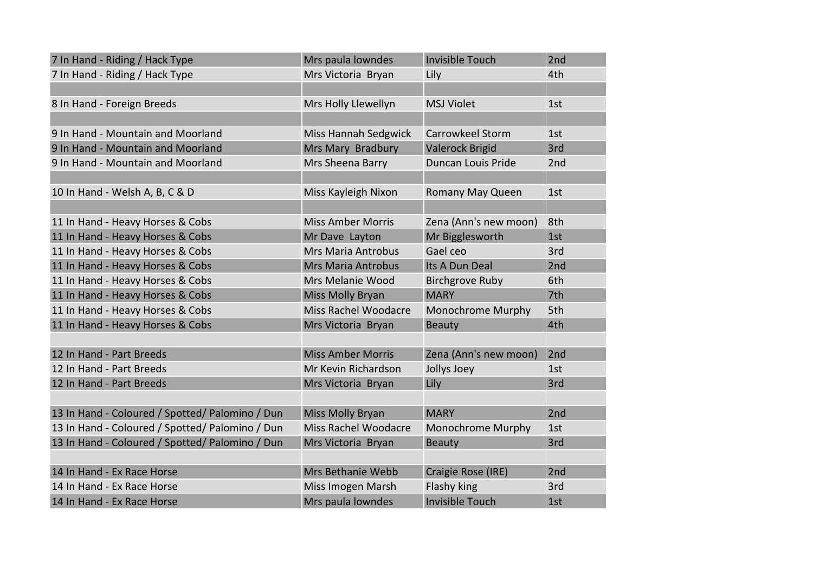| 7 In Hand - Riding / Hack Type                  | Mrs paula lowndes           | <b>Invisible Touch</b>  | 2nd |
|-------------------------------------------------|-----------------------------|-------------------------|-----|
| 7 In Hand - Riding / Hack Type                  | Mrs Victoria Bryan          | Lily                    | 4th |
|                                                 |                             |                         |     |
| 8 In Hand - Foreign Breeds                      | Mrs Holly Llewellyn         | <b>MSJ Violet</b>       | 1st |
|                                                 |                             |                         |     |
| 9 In Hand - Mountain and Moorland               | <b>Miss Hannah Sedgwick</b> | <b>Carrowkeel Storm</b> | 1st |
| 9 In Hand - Mountain and Moorland               | Mrs Mary Bradbury           | <b>Valerock Brigid</b>  | 3rd |
| 9 In Hand - Mountain and Moorland               | Mrs Sheena Barry            | Duncan Louis Pride      | 2nd |
|                                                 |                             |                         |     |
| 10 In Hand - Welsh A, B, C & D                  | Miss Kayleigh Nixon         | Romany May Queen        | 1st |
|                                                 |                             |                         |     |
| 11 In Hand - Heavy Horses & Cobs                | <b>Miss Amber Morris</b>    | Zena (Ann's new moon)   | 8th |
| 11 In Hand - Heavy Horses & Cobs                | Mr Dave Layton              | Mr Bigglesworth         | 1st |
| 11 In Hand - Heavy Horses & Cobs                | <b>Mrs Maria Antrobus</b>   | Gael ceo                | 3rd |
| 11 In Hand - Heavy Horses & Cobs                | <b>Mrs Maria Antrobus</b>   | Its A Dun Deal          | 2nd |
| 11 In Hand - Heavy Horses & Cobs                | Mrs Melanie Wood            | <b>Birchgrove Ruby</b>  | 6th |
| 11 In Hand - Heavy Horses & Cobs                | <b>Miss Molly Bryan</b>     | <b>MARY</b>             | 7th |
| 11 In Hand - Heavy Horses & Cobs                | Miss Rachel Woodacre        | Monochrome Murphy       | 5th |
| 11 In Hand - Heavy Horses & Cobs                | Mrs Victoria Bryan          | <b>Beauty</b>           | 4th |
|                                                 |                             |                         |     |
| 12 In Hand - Part Breeds                        | <b>Miss Amber Morris</b>    | Zena (Ann's new moon)   | 2nd |
| 12 In Hand - Part Breeds                        | Mr Kevin Richardson         | Jollys Joey             | 1st |
| 12 In Hand - Part Breeds                        | Mrs Victoria Bryan          | Lily                    | 3rd |
|                                                 |                             |                         |     |
| 13 In Hand - Coloured / Spotted/ Palomino / Dun | <b>Miss Molly Bryan</b>     | <b>MARY</b>             | 2nd |
| 13 In Hand - Coloured / Spotted/ Palomino / Dun | <b>Miss Rachel Woodacre</b> | Monochrome Murphy       | 1st |
| 13 In Hand - Coloured / Spotted/ Palomino / Dun | Mrs Victoria Bryan          | <b>Beauty</b>           | 3rd |
|                                                 |                             |                         |     |
| 14 In Hand - Ex Race Horse                      | Mrs Bethanie Webb           | Craigie Rose (IRE)      | 2nd |
| 14 In Hand - Ex Race Horse                      | Miss Imogen Marsh           | Flashy king             | 3rd |
| 14 In Hand - Ex Race Horse                      | Mrs paula lowndes           | <b>Invisible Touch</b>  | 1st |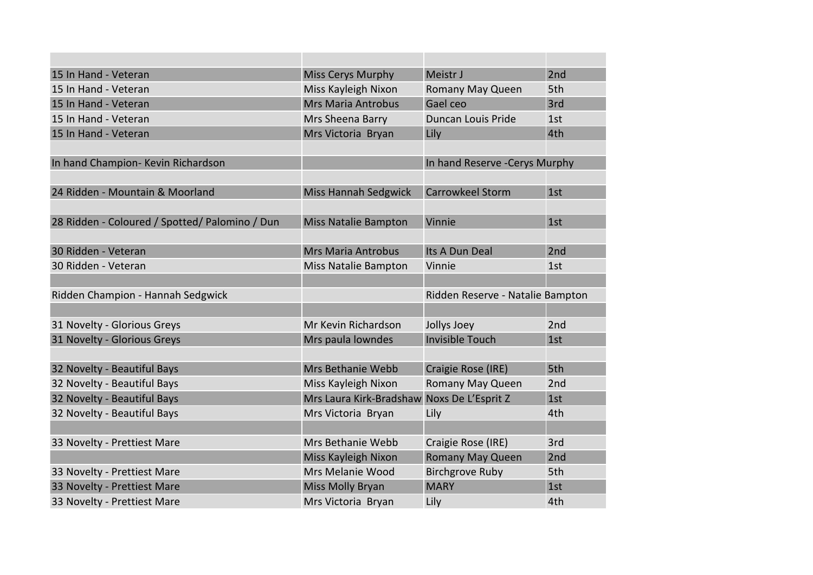| 15 In Hand - Veteran                           | <b>Miss Cerys Murphy</b>                   | Meistr J                         | 2nd |
|------------------------------------------------|--------------------------------------------|----------------------------------|-----|
| 15 In Hand - Veteran                           | Miss Kayleigh Nixon                        | Romany May Queen                 | 5th |
| 15 In Hand - Veteran                           | <b>Mrs Maria Antrobus</b>                  | Gael ceo                         | 3rd |
| 15 In Hand - Veteran                           | Mrs Sheena Barry                           | Duncan Louis Pride               | 1st |
| 15 In Hand - Veteran                           | Mrs Victoria Bryan                         | Lily                             | 4th |
|                                                |                                            |                                  |     |
| In hand Champion- Kevin Richardson             |                                            | In hand Reserve - Cerys Murphy   |     |
|                                                |                                            |                                  |     |
| 24 Ridden - Mountain & Moorland                | <b>Miss Hannah Sedgwick</b>                | <b>Carrowkeel Storm</b>          | 1st |
|                                                |                                            |                                  |     |
| 28 Ridden - Coloured / Spotted/ Palomino / Dun | <b>Miss Natalie Bampton</b>                | Vinnie                           | 1st |
|                                                |                                            |                                  |     |
| 30 Ridden - Veteran                            | <b>Mrs Maria Antrobus</b>                  | Its A Dun Deal                   | 2nd |
| 30 Ridden - Veteran                            | Miss Natalie Bampton                       | Vinnie                           | 1st |
|                                                |                                            |                                  |     |
| Ridden Champion - Hannah Sedgwick              |                                            | Ridden Reserve - Natalie Bampton |     |
|                                                |                                            |                                  |     |
| 31 Novelty - Glorious Greys                    | Mr Kevin Richardson                        | Jollys Joey                      | 2nd |
| 31 Novelty - Glorious Greys                    | Mrs paula lowndes                          | <b>Invisible Touch</b>           | 1st |
|                                                |                                            |                                  |     |
| 32 Novelty - Beautiful Bays                    | Mrs Bethanie Webb                          | Craigie Rose (IRE)               | 5th |
| 32 Novelty - Beautiful Bays                    | Miss Kayleigh Nixon                        | Romany May Queen                 | 2nd |
| 32 Novelty - Beautiful Bays                    | Mrs Laura Kirk-Bradshaw Noxs De L'Esprit Z |                                  | 1st |
| 32 Novelty - Beautiful Bays                    | Mrs Victoria Bryan                         | Lily                             | 4th |
|                                                |                                            |                                  |     |
| 33 Novelty - Prettiest Mare                    | Mrs Bethanie Webb                          | Craigie Rose (IRE)               | 3rd |
|                                                | Miss Kayleigh Nixon                        | <b>Romany May Queen</b>          | 2nd |
| 33 Novelty - Prettiest Mare                    | Mrs Melanie Wood                           | <b>Birchgrove Ruby</b>           | 5th |
| 33 Novelty - Prettiest Mare                    | Miss Molly Bryan                           | <b>MARY</b>                      | 1st |
| 33 Novelty - Prettiest Mare                    | Mrs Victoria Bryan                         | Lily                             | 4th |